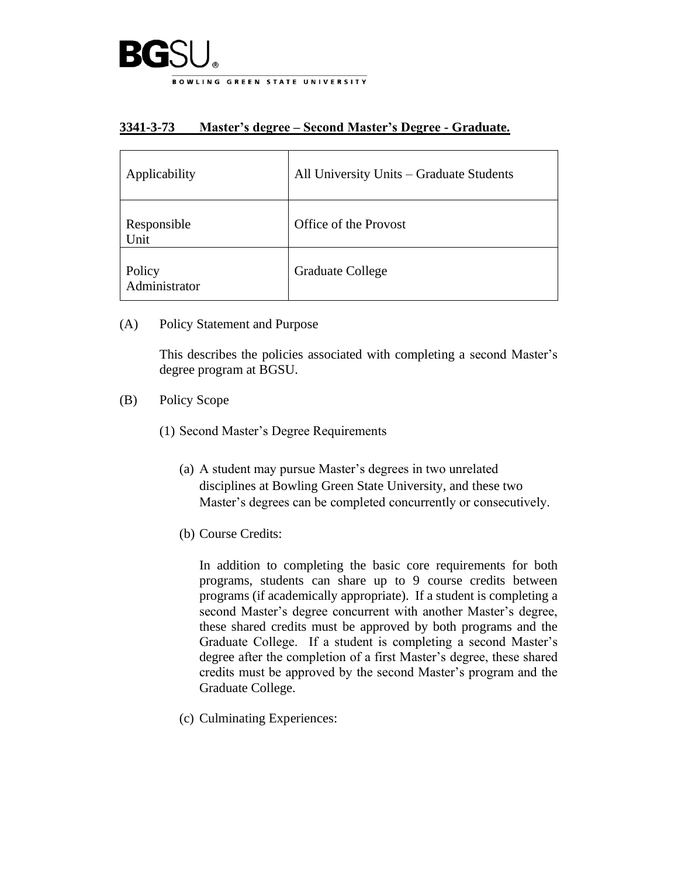

## **3341-3-73 Master's degree – Second Master's Degree - Graduate.**

| Applicability           | All University Units - Graduate Students |
|-------------------------|------------------------------------------|
| Responsible<br>Unit     | Office of the Provost                    |
| Policy<br>Administrator | <b>Graduate College</b>                  |

(A) Policy Statement and Purpose

This describes the policies associated with completing a second Master's degree program at BGSU.

- (B) Policy Scope
	- (1) Second Master's Degree Requirements
		- (a) A student may pursue Master's degrees in two unrelated disciplines at Bowling Green State University, and these two Master's degrees can be completed concurrently or consecutively.
		- (b) Course Credits:

In addition to completing the basic core requirements for both programs, students can share up to 9 course credits between programs (if academically appropriate). If a student is completing a second Master's degree concurrent with another Master's degree, these shared credits must be approved by both programs and the Graduate College. If a student is completing a second Master's degree after the completion of a first Master's degree, these shared credits must be approved by the second Master's program and the Graduate College.

(c) Culminating Experiences: